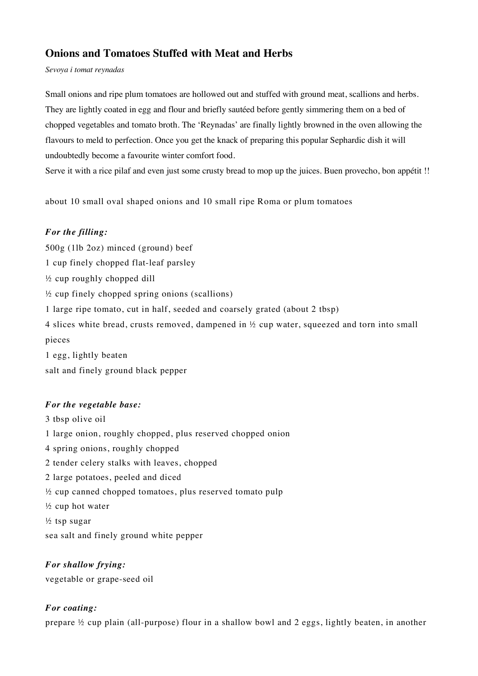# **Onions and Tomatoes Stuffed with Meat and Herbs**

*Sevoya i tomat reynadas*

Small onions and ripe plum tomatoes are hollowed out and stuffed with ground meat, scallions and herbs. They are lightly coated in egg and flour and briefly sautéed before gently simmering them on a bed of chopped vegetables and tomato broth. The 'Reynadas' are finally lightly browned in the oven allowing the flavours to meld to perfection. Once you get the knack of preparing this popular Sephardic dish it will undoubtedly become a favourite winter comfort food.

Serve it with a rice pilaf and even just some crusty bread to mop up the juices. Buen provecho, bon appétit !!

about 10 small oval shaped onions and 10 small ripe Roma or plum tomatoes

## *For the filling:*

500g (1lb 2oz) minced (ground) beef 1 cup finely chopped flat-leaf parsley ½ cup roughly chopped dill ½ cup finely chopped spring onions (scallions) 1 large ripe tomato, cut in half, seeded and coarsely grated (about 2 tbsp) 4 slices white bread, crusts removed, dampened in ½ cup water, squeezed and torn into small pieces

1 egg, lightly beaten salt and finely ground black pepper

## *For the vegetable base:*

3 tbsp olive oil 1 large onion, roughly chopped, plus reserved chopped onion 4 spring onions, roughly chopped 2 tender celery stalks with leaves, chopped 2 large potatoes, peeled and diced ½ cup canned chopped tomatoes, plus reserved tomato pulp  $\frac{1}{2}$  cup hot water ½ tsp sugar sea salt and finely ground white pepper

*For shallow frying:* vegetable or grape-seed oil

## *For coating:*

prepare ½ cup plain (all-purpose) flour in a shallow bowl and 2 eggs, lightly beaten, in another